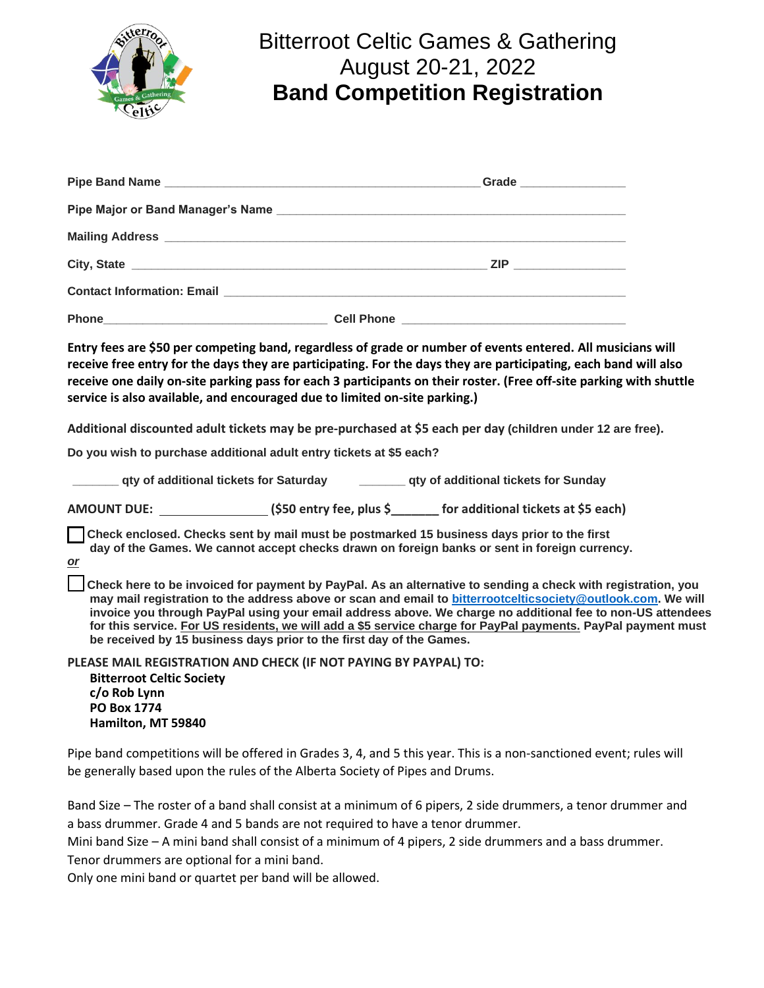

## Bitterroot Celtic Games & Gathering August 20-21, 2022 **Band Competition Registration**

| <b>Phone</b><br><u> 2008 - Jan James James James James James James James James James James James James James James James James Ja</u> |  |
|---------------------------------------------------------------------------------------------------------------------------------------|--|

**Entry fees are \$50 per competing band, regardless of grade or number of events entered. All musicians will receive free entry for the days they are participating. For the days they are participating, each band will also receive one daily on-site parking pass for each 3 participants on their roster. (Free off-site parking with shuttle service is also available, and encouraged due to limited on-site parking.)**

**Additional discounted adult tickets may be pre-purchased at \$5 each per day (children under 12 are free).**

**Do you wish to purchase additional adult entry tickets at \$5 each?**

| gty of additional tickets for Saturday | ___ qty of additional tickets for Sunday |
|----------------------------------------|------------------------------------------|
|----------------------------------------|------------------------------------------|

**AMOUNT DUE: (\$50 entry fee, plus \$\_\_\_\_\_\_\_ for additional tickets at \$5 each)**

 **Check enclosed. Checks sent by mail must be postmarked 15 business days prior to the first day of the Games. We cannot accept checks drawn on foreign banks or sent in foreign currency.** *or*

 **Check here to be invoiced for payment by PayPal. As an alternative to sending a check with registration, you may mail registration to the address above or scan and email to [bitterrootcelticsociety@outlook.com.](mailto:bitterrootcelticsociety@outlook.com) We will invoice you through PayPal using your email address above. We charge no additional fee to non-US attendees for this service. For US residents, we will add a \$5 service charge for PayPal payments. PayPal payment must be received by 15 business days prior to the first day of the Games.**

**PLEASE MAIL REGISTRATION AND CHECK (IF NOT PAYING BY PAYPAL) TO: Bitterroot Celtic Society c/o Rob Lynn PO Box 1774 Hamilton, MT 59840**

Pipe band competitions will be offered in Grades 3, 4, and 5 this year. This is a non-sanctioned event; rules will be generally based upon the rules of the Alberta Society of Pipes and Drums.

Band Size – The roster of a band shall consist at a minimum of 6 pipers, 2 side drummers, a tenor drummer and a bass drummer. Grade 4 and 5 bands are not required to have a tenor drummer.

Mini band Size – A mini band shall consist of a minimum of 4 pipers, 2 side drummers and a bass drummer. Tenor drummers are optional for a mini band.

Only one mini band or quartet per band will be allowed.